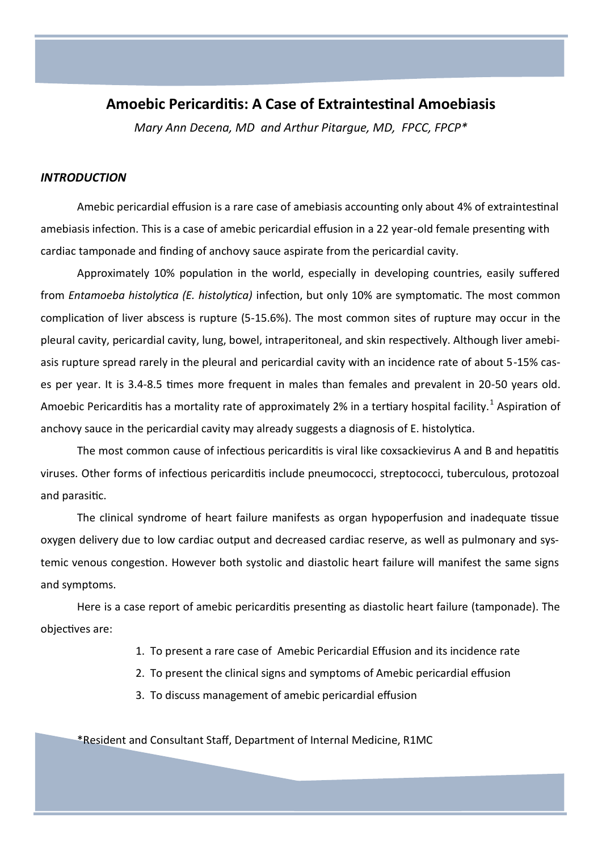# **Amoebic Pericarditis: A Case of Extraintestinal Amoebiasis**

*Mary Ann Decena, MD and Arthur Pitargue, MD, FPCC, FPCP\**

#### *INTRODUCTION*

Amebic pericardial effusion is a rare case of amebiasis accounting only about 4% of extraintestinal amebiasis infection. This is a case of amebic pericardial effusion in a 22 year-old female presenting with cardiac tamponade and finding of anchovy sauce aspirate from the pericardial cavity.

Approximately 10% population in the world, especially in developing countries, easily suffered from *Entamoeba histolytica (E. histolytica)* infection, but only 10% are symptomatic. The most common complication of liver abscess is rupture (5-15.6%). The most common sites of rupture may occur in the pleural cavity, pericardial cavity, lung, bowel, intraperitoneal, and skin respectively. Although liver amebiasis rupture spread rarely in the pleural and pericardial cavity with an incidence rate of about 5-15% cases per year. It is 3.4-8.5 times more frequent in males than females and prevalent in 20-50 years old. Amoebic Pericarditis has a mortality rate of approximately 2% in a tertiary hospital facility.<sup>1</sup> Aspiration of anchovy sauce in the pericardial cavity may already suggests a diagnosis of E. histolytica.

The most common cause of infectious pericarditis is viral like coxsackievirus A and B and hepatitis viruses. Other forms of infectious pericarditis include pneumococci, streptococci, tuberculous, protozoal and parasitic.

The clinical syndrome of heart failure manifests as organ hypoperfusion and inadequate tissue oxygen delivery due to low cardiac output and decreased cardiac reserve, as well as pulmonary and systemic venous congestion. However both systolic and diastolic heart failure will manifest the same signs and symptoms.

Here is a case report of amebic pericarditis presenting as diastolic heart failure (tamponade). The objectives are:

- 1. To present a rare case of Amebic Pericardial Effusion and its incidence rate
- 2. To present the clinical signs and symptoms of Amebic pericardial effusion
- 3. To discuss management of amebic pericardial effusion

\*Resident and Consultant Staff, Department of Internal Medicine, R1MC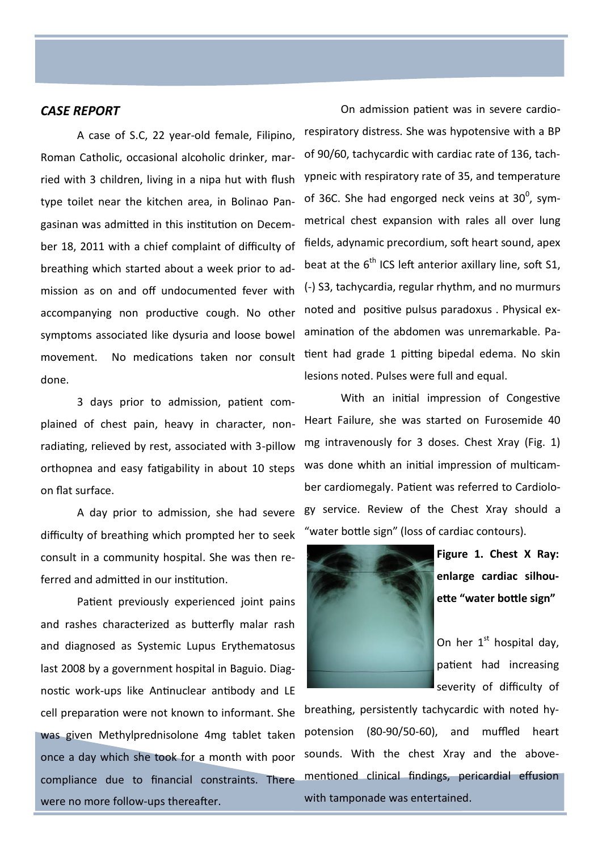### *CASE REPORT*

A case of S.C, 22 year-old female, Filipino, Roman Catholic, occasional alcoholic drinker, married with 3 children, living in a nipa hut with flush type toilet near the kitchen area, in Bolinao Pangasinan was admitted in this institution on December 18, 2011 with a chief complaint of difficulty of breathing which started about a week prior to admission as on and off undocumented fever with accompanying non productive cough. No other symptoms associated like dysuria and loose bowel movement. No medications taken nor consult done.

3 days prior to admission, patient complained of chest pain, heavy in character, nonradiating, relieved by rest, associated with 3-pillow orthopnea and easy fatigability in about 10 steps on flat surface.

A day prior to admission, she had severe difficulty of breathing which prompted her to seek consult in a community hospital. She was then referred and admitted in our institution.

Patient previously experienced joint pains and rashes characterized as butterfly malar rash and diagnosed as Systemic Lupus Erythematosus last 2008 by a government hospital in Baguio. Diagnostic work-ups like Antinuclear antibody and LE cell preparation were not known to informant. She was given Methylprednisolone 4mg tablet taken once a day which she took for a month with poor compliance due to financial constraints. There were no more follow-ups thereafter.

On admission patient was in severe cardiorespiratory distress. She was hypotensive with a BP of 90/60, tachycardic with cardiac rate of 136, tachypneic with respiratory rate of 35, and temperature of 36C. She had engorged neck veins at  $30^0$ , symmetrical chest expansion with rales all over lung fields, adynamic precordium, soft heart sound, apex beat at the  $6<sup>th</sup>$  ICS left anterior axillary line, soft S1, (-) S3, tachycardia, regular rhythm, and no murmurs noted and positive pulsus paradoxus . Physical examination of the abdomen was unremarkable. Patient had grade 1 pitting bipedal edema. No skin lesions noted. Pulses were full and equal.

With an initial impression of Congestive Heart Failure, she was started on Furosemide 40 mg intravenously for 3 doses. Chest Xray (Fig. 1) was done whith an initial impression of multicamber cardiomegaly. Patient was referred to Cardiology service. Review of the Chest Xray should a "water bottle sign" (loss of cardiac contours).



**Figure 1. Chest X Ray: enlarge cardiac silhouette "water bottle sign"** 

On her  $1<sup>st</sup>$  hospital day, patient had increasing severity of difficulty of

breathing, persistently tachycardic with noted hypotension (80-90/50-60), and muffled heart sounds. With the chest Xray and the abovementioned clinical findings, pericardial effusion with tamponade was entertained.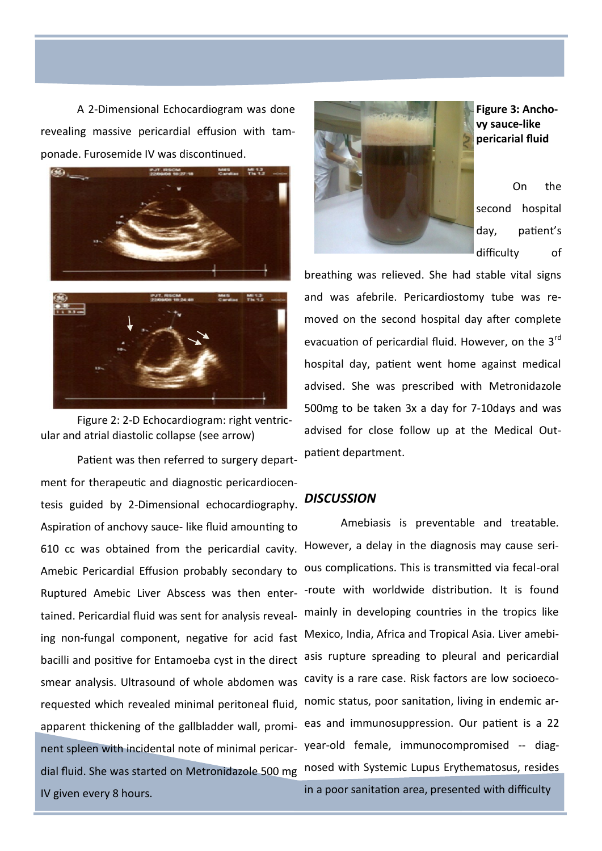A 2-Dimensional Echocardiogram was done revealing massive pericardial effusion with tamponade. Furosemide IV was discontinued.



Figure 2: 2-D Echocardiogram: right ventricular and atrial diastolic collapse (see arrow)

Patient was then referred to surgery department for therapeutic and diagnostic pericardiocentesis guided by 2-Dimensional echocardiography. Aspiration of anchovy sauce- like fluid amounting to 610 cc was obtained from the pericardial cavity. Amebic Pericardial Effusion probably secondary to Ruptured Amebic Liver Abscess was then entertained. Pericardial fluid was sent for analysis revealing non-fungal component, negative for acid fast Mexico, India, Africa and Tropical Asia. Liver amebibacilli and positive for Entamoeba cyst in the direct asis rupture spreading to pleural and pericardial smear analysis. Ultrasound of whole abdomen was cavity is a rare case. Risk factors are low socioecorequested which revealed minimal peritoneal fluid, apparent thickening of the gallbladder wall, prominent spleen with incidental note of minimal pericar-year-old female, immunocompromised -- diagdial fluid. She was started on Metronidazole 500 mg nosed with Systemic Lupus Erythematosus, resides IV given every 8 hours.



**Figure 3: Anchovy sauce-like pericarial fluid**

On the second hospital day, patient's difficulty of

breathing was relieved. She had stable vital signs and was afebrile. Pericardiostomy tube was removed on the second hospital day after complete evacuation of pericardial fluid. However, on the 3<sup>rd</sup> hospital day, patient went home against medical advised. She was prescribed with Metronidazole 500mg to be taken 3x a day for 7-10days and was advised for close follow up at the Medical Outpatient department.

## *DISCUSSION*

Amebiasis is preventable and treatable. However, a delay in the diagnosis may cause serious complications. This is transmitted via fecal-oral -route with worldwide distribution. It is found mainly in developing countries in the tropics like nomic status, poor sanitation, living in endemic areas and immunosuppression. Our patient is a 22

in a poor sanitation area, presented with difficulty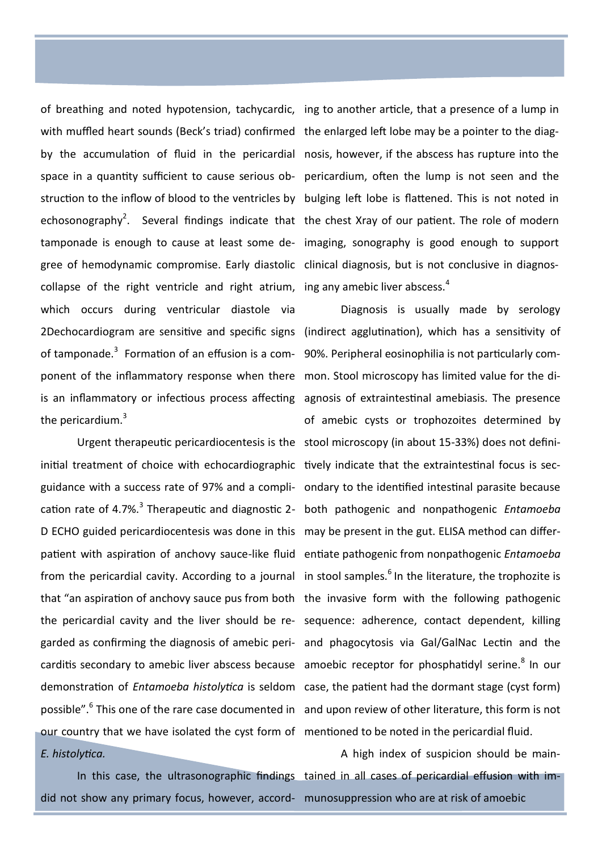with muffled heart sounds (Beck's triad) confirmed the enlarged left lobe may be a pointer to the diaggree of hemodynamic compromise. Early diastolic clinical diagnosis, but is not conclusive in diagnoscollapse of the right ventricle and right atrium, ing any amebic liver abscess.<sup>4</sup> which occurs during ventricular diastole via of tamponade.<sup>3</sup> Formation of an effusion is a com- 90%. Peripheral eosinophilia is not particularly component of the inflammatory response when there mon. Stool microscopy has limited value for the dithe pericardium. $3$ 

initial treatment of choice with echocardiographic tively indicate that the extraintestinal focus is seccation rate of 4.7%.<sup>3</sup> Therapeutic and diagnostic 2- both pathogenic and nonpathogenic *Entamoeba* D ECHO guided pericardiocentesis was done in this may be present in the gut. ELISA method can differpatient with aspiration of anchovy sauce-like fluid entiate pathogenic from nonpathogenic *Entamoeba* our country that we have isolated the cyst form of mentioned to be noted in the pericardial fluid. *E. histolytica.*

did not show any primary focus, however, accord-munosuppression who are at risk of amoebic

of breathing and noted hypotension, tachycardic, ing to another article, that a presence of a lump in by the accumulation of fluid in the pericardial nosis, however, if the abscess has rupture into the space in a quantity sufficient to cause serious ob-pericardium, often the lump is not seen and the struction to the inflow of blood to the ventricles by bulging left lobe is flattened. This is not noted in echosonography<sup>2</sup>. Several findings indicate that the chest Xray of our patient. The role of modern tamponade is enough to cause at least some de-imaging, sonography is good enough to support

2Dechocardiogram are sensitive and specific signs (indirect agglutination), which has a sensitivity of is an inflammatory or infectious process affecting agnosis of extraintestinal amebiasis. The presence Urgent therapeutic pericardiocentesis is the stool microscopy (in about 15-33%) does not definiguidance with a success rate of 97% and a compli-ondary to the identified intestinal parasite because from the pericardial cavity. According to a journal in stool samples.<sup>6</sup> In the literature, the trophozite is that "an aspiration of anchovy sauce pus from both the invasive form with the following pathogenic the pericardial cavity and the liver should be re-sequence: adherence, contact dependent, killing garded as confirming the diagnosis of amebic peri-and phagocytosis via Gal/GalNac Lectin and the carditis secondary to amebic liver abscess because amoebic receptor for phosphatidyl serine.<sup>8</sup> In our demonstration of *Entamoeba histolytica* is seldom case, the patient had the dormant stage (cyst form) possible".<sup>6</sup> This one of the rare case documented in and upon review of other literature, this form is not Diagnosis is usually made by serology of amebic cysts or trophozoites determined by

In this case, the ultrasonographic findings tained in all cases of pericardial effusion with im-A high index of suspicion should be main-